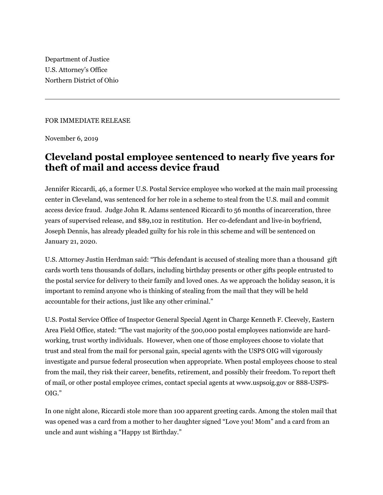Department of Justice U.S. Attorney's Office Northern District of Ohio

## FOR IMMEDIATE RELEASE

November 6, 2019

## **Cleveland postal employee sentenced to nearly five years for theft of mail and access device fraud**

Jennifer Riccardi, 46, a former U.S. Postal Service employee who worked at the main mail processing center in Cleveland, was sentenced for her role in a scheme to steal from the U.S. mail and commit access device fraud. Judge John R. Adams sentenced Riccardi to 56 months of incarceration, three years of supervised release, and \$89,102 in restitution. Her co-defendant and live-in boyfriend, Joseph Dennis, has already pleaded guilty for his role in this scheme and will be sentenced on January 21, 2020.

U.S. Attorney Justin Herdman said: "This defendant is accused of stealing more than a thousand gift cards worth tens thousands of dollars, including birthday presents or other gifts people entrusted to the postal service for delivery to their family and loved ones. As we approach the holiday season, it is important to remind anyone who is thinking of stealing from the mail that they will be held accountable for their actions, just like any other criminal."

U.S. Postal Service Office of Inspector General Special Agent in Charge Kenneth F. Cleevely, Eastern Area Field Office, stated: "The vast majority of the 500,000 postal employees nationwide are hardworking, trust worthy individuals. However, when one of those employees choose to violate that trust and steal from the mail for personal gain, special agents with the USPS OIG will vigorously investigate and pursue federal prosecution when appropriate. When postal employees choose to steal from the mail, they risk their career, benefits, retirement, and possibly their freedom. To report theft of mail, or other postal employee crimes, contact special agents at www.uspsoig.gov or 888-USPS-OIG."

In one night alone, Riccardi stole more than 100 apparent greeting cards. Among the stolen mail that was opened was a card from a mother to her daughter signed "Love you! Mom" and a card from an uncle and aunt wishing a "Happy 1st Birthday."